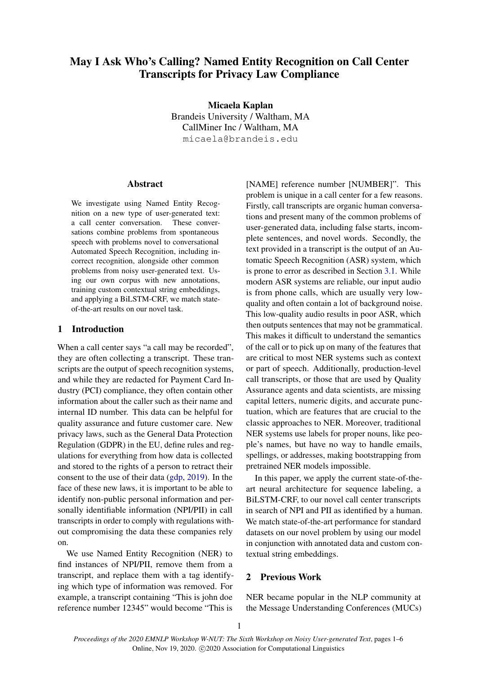# May I Ask Who's Calling? Named Entity Recognition on Call Center Transcripts for Privacy Law Compliance

Micaela Kaplan Brandeis University / Waltham, MA CallMiner Inc / Waltham, MA micaela@brandeis.edu

# **Abstract**

We investigate using Named Entity Recognition on a new type of user-generated text: a call center conversation. These conversations combine problems from spontaneous speech with problems novel to conversational Automated Speech Recognition, including incorrect recognition, alongside other common problems from noisy user-generated text. Using our own corpus with new annotations, training custom contextual string embeddings, and applying a BiLSTM-CRF, we match stateof-the-art results on our novel task.

# 1 Introduction

When a call center says "a call may be recorded", they are often collecting a transcript. These transcripts are the output of speech recognition systems, and while they are redacted for Payment Card Industry (PCI) compliance, they often contain other information about the caller such as their name and internal ID number. This data can be helpful for quality assurance and future customer care. New privacy laws, such as the General Data Protection Regulation (GDPR) in the EU, define rules and regulations for everything from how data is collected and stored to the rights of a person to retract their consent to the use of their data [\(gdp,](#page-5-0) [2019\)](#page-5-0). In the face of these new laws, it is important to be able to identify non-public personal information and personally identifiable information (NPI/PII) in call transcripts in order to comply with regulations without compromising the data these companies rely on.

We use Named Entity Recognition (NER) to find instances of NPI/PII, remove them from a transcript, and replace them with a tag identifying which type of information was removed. For example, a transcript containing "This is john doe reference number 12345" would become "This is

[NAME] reference number [NUMBER]". This problem is unique in a call center for a few reasons. Firstly, call transcripts are organic human conversations and present many of the common problems of user-generated data, including false starts, incomplete sentences, and novel words. Secondly, the text provided in a transcript is the output of an Automatic Speech Recognition (ASR) system, which is prone to error as described in Section [3.1.](#page-1-0) While modern ASR systems are reliable, our input audio is from phone calls, which are usually very lowquality and often contain a lot of background noise. This low-quality audio results in poor ASR, which then outputs sentences that may not be grammatical. This makes it difficult to understand the semantics of the call or to pick up on many of the features that are critical to most NER systems such as context or part of speech. Additionally, production-level call transcripts, or those that are used by Quality Assurance agents and data scientists, are missing capital letters, numeric digits, and accurate punctuation, which are features that are crucial to the classic approaches to NER. Moreover, traditional NER systems use labels for proper nouns, like people's names, but have no way to handle emails, spellings, or addresses, making bootstrapping from pretrained NER models impossible.

In this paper, we apply the current state-of-theart neural architecture for sequence labeling, a BiLSTM-CRF, to our novel call center transcripts in search of NPI and PII as identified by a human. We match state-of-the-art performance for standard datasets on our novel problem by using our model in conjunction with annotated data and custom contextual string embeddings.

# 2 Previous Work

NER became popular in the NLP community at the Message Understanding Conferences (MUCs)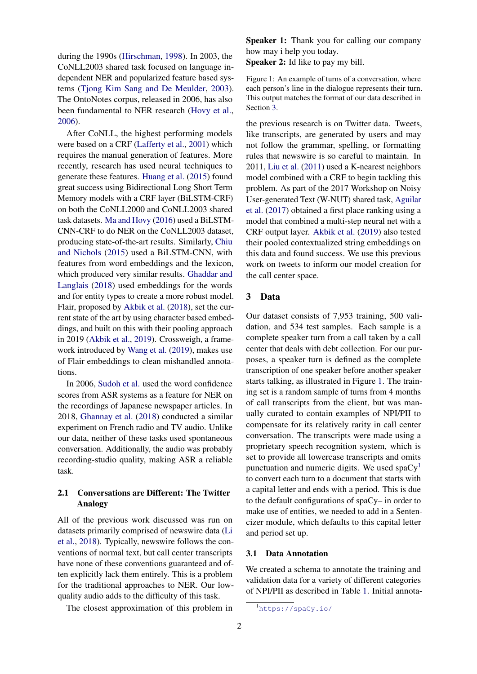during the 1990s [\(Hirschman,](#page-5-1) [1998\)](#page-5-1). In 2003, the CoNLL2003 shared task focused on language independent NER and popularized feature based systems [\(Tjong Kim Sang and De Meulder,](#page-5-2) [2003\)](#page-5-2). The OntoNotes corpus, released in 2006, has also been fundamental to NER research [\(Hovy et al.,](#page-5-3) [2006\)](#page-5-3).

After CoNLL, the highest performing models were based on a CRF [\(Lafferty et al.,](#page-5-4) [2001\)](#page-5-4) which requires the manual generation of features. More recently, research has used neural techniques to generate these features. [Huang et al.](#page-5-5) [\(2015\)](#page-5-5) found great success using Bidirectional Long Short Term Memory models with a CRF layer (BiLSTM-CRF) on both the CoNLL2000 and CoNLL2003 shared task datasets. [Ma and Hovy](#page-5-6) [\(2016\)](#page-5-6) used a BiLSTM-CNN-CRF to do NER on the CoNLL2003 dataset, producing state-of-the-art results. Similarly, [Chiu](#page-5-7) [and Nichols](#page-5-7) [\(2015\)](#page-5-7) used a BiLSTM-CNN, with features from word embeddings and the lexicon, which produced very similar results. [Ghaddar and](#page-5-8) [Langlais](#page-5-8) [\(2018\)](#page-5-8) used embeddings for the words and for entity types to create a more robust model. Flair, proposed by [Akbik et al.](#page-5-9) [\(2018\)](#page-5-9), set the current state of the art by using character based embeddings, and built on this with their pooling approach in 2019 [\(Akbik et al.,](#page-5-10) [2019\)](#page-5-10). Crossweigh, a framework introduced by [Wang et al.](#page-5-11) [\(2019\)](#page-5-11), makes use of Flair embeddings to clean mishandled annotations.

In 2006, [Sudoh et al.](#page-5-12) used the word confidence scores from ASR systems as a feature for NER on the recordings of Japanese newspaper articles. In 2018, [Ghannay et al.](#page-5-13) [\(2018\)](#page-5-13) conducted a similar experiment on French radio and TV audio. Unlike our data, neither of these tasks used spontaneous conversation. Additionally, the audio was probably recording-studio quality, making ASR a reliable task.

# 2.1 Conversations are Different: The Twitter Analogy

All of the previous work discussed was run on datasets primarily comprised of newswire data [\(Li](#page-5-14) [et al.,](#page-5-14) [2018\)](#page-5-14). Typically, newswire follows the conventions of normal text, but call center transcripts have none of these conventions guaranteed and often explicitly lack them entirely. This is a problem for the traditional approaches to NER. Our lowquality audio adds to the difficulty of this task.

The closest approximation of this problem in

<span id="page-1-2"></span>Speaker 1: Thank you for calling our company how may i help you today.

Speaker 2: Id like to pay my bill.

Figure 1: An example of turns of a conversation, where each person's line in the dialogue represents their turn. This output matches the format of our data described in Section [3.](#page-1-1)

the previous research is on Twitter data. Tweets, like transcripts, are generated by users and may not follow the grammar, spelling, or formatting rules that newswire is so careful to maintain. In 2011, [Liu et al.](#page-5-15) [\(2011\)](#page-5-15) used a K-nearest neighbors model combined with a CRF to begin tackling this problem. As part of the 2017 Workshop on Noisy User-generated Text (W-NUT) shared task, [Aguilar](#page-5-16) [et al.](#page-5-16) [\(2017\)](#page-5-16) obtained a first place ranking using a model that combined a multi-step neural net with a CRF output layer. [Akbik et al.](#page-5-10) [\(2019\)](#page-5-10) also tested their pooled contextualized string embeddings on this data and found success. We use this previous work on tweets to inform our model creation for the call center space.

# <span id="page-1-1"></span>3 Data

Our dataset consists of 7,953 training, 500 validation, and 534 test samples. Each sample is a complete speaker turn from a call taken by a call center that deals with debt collection. For our purposes, a speaker turn is defined as the complete transcription of one speaker before another speaker starts talking, as illustrated in Figure [1.](#page-1-2) The training set is a random sample of turns from 4 months of call transcripts from the client, but was manually curated to contain examples of NPI/PII to compensate for its relatively rarity in call center conversation. The transcripts were made using a proprietary speech recognition system, which is set to provide all lowercase transcripts and omits punctuation and numeric digits. We used  $spaCy<sup>1</sup>$  $spaCy<sup>1</sup>$  $spaCy<sup>1</sup>$ to convert each turn to a document that starts with a capital letter and ends with a period. This is due to the default configurations of spaCy– in order to make use of entities, we needed to add in a Sentencizer module, which defaults to this capital letter and period set up.

#### <span id="page-1-0"></span>3.1 Data Annotation

We created a schema to annotate the training and validation data for a variety of different categories of NPI/PII as described in Table [1.](#page-2-0) Initial annota-

<span id="page-1-3"></span><sup>1</sup><https://spaCy.io/>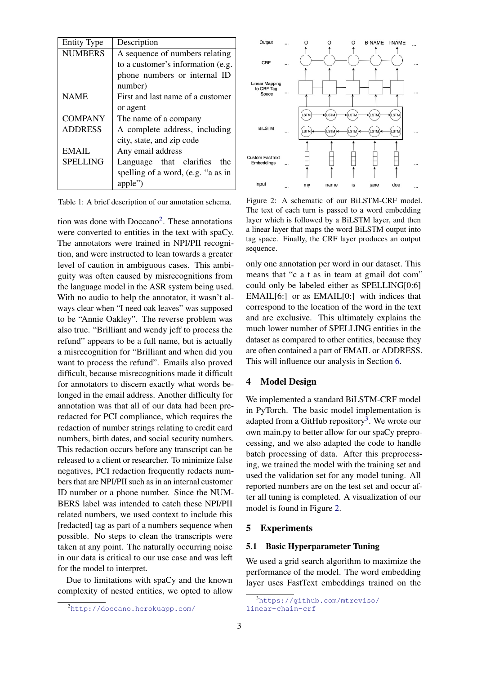<span id="page-2-0"></span>

| <b>Entity Type</b> | Description                        |  |  |  |
|--------------------|------------------------------------|--|--|--|
| <b>NUMBERS</b>     | A sequence of numbers relating     |  |  |  |
|                    | to a customer's information (e.g.  |  |  |  |
|                    | phone numbers or internal ID       |  |  |  |
|                    | number)                            |  |  |  |
| <b>NAME</b>        | First and last name of a customer  |  |  |  |
|                    | or agent                           |  |  |  |
| <b>COMPANY</b>     | The name of a company              |  |  |  |
| <b>ADDRESS</b>     | A complete address, including      |  |  |  |
|                    | city, state, and zip code          |  |  |  |
| <b>EMAIL</b>       | Any email address                  |  |  |  |
| <b>SPELLING</b>    | Language that clarifies the        |  |  |  |
|                    | spelling of a word, (e.g. "a as in |  |  |  |
|                    | apple")                            |  |  |  |

Table 1: A brief description of our annotation schema.

tion was done with  $Doccano<sup>2</sup>$  $Doccano<sup>2</sup>$  $Doccano<sup>2</sup>$ . These annotations were converted to entities in the text with spaCy. The annotators were trained in NPI/PII recognition, and were instructed to lean towards a greater level of caution in ambiguous cases. This ambiguity was often caused by misrecognitions from the language model in the ASR system being used. With no audio to help the annotator, it wasn't always clear when "I need oak leaves" was supposed to be "Annie Oakley". The reverse problem was also true. "Brilliant and wendy jeff to process the refund" appears to be a full name, but is actually a misrecognition for "Brilliant and when did you want to process the refund". Emails also proved difficult, because misrecognitions made it difficult for annotators to discern exactly what words belonged in the email address. Another difficulty for annotation was that all of our data had been preredacted for PCI compliance, which requires the redaction of number strings relating to credit card numbers, birth dates, and social security numbers. This redaction occurs before any transcript can be released to a client or researcher. To minimize false negatives, PCI redaction frequently redacts numbers that are NPI/PII such as in an internal customer ID number or a phone number. Since the NUM-BERS label was intended to catch these NPI/PII related numbers, we used context to include this [redacted] tag as part of a numbers sequence when possible. No steps to clean the transcripts were taken at any point. The naturally occurring noise in our data is critical to our use case and was left for the model to interpret.

Due to limitations with spaCy and the known complexity of nested entities, we opted to allow

<span id="page-2-3"></span>

Figure 2: A schematic of our BiLSTM-CRF model. The text of each turn is passed to a word embedding layer which is followed by a BiLSTM layer, and then a linear layer that maps the word BiLSTM output into tag space. Finally, the CRF layer produces an output sequence.

only one annotation per word in our dataset. This means that "c a t as in team at gmail dot com" could only be labeled either as SPELLING[0:6] EMAIL[6:] or as EMAIL[0:] with indices that correspond to the location of the word in the text and are exclusive. This ultimately explains the much lower number of SPELLING entities in the dataset as compared to other entities, because they are often contained a part of EMAIL or ADDRESS. This will influence our analysis in Section [6.](#page-4-0)

# 4 Model Design

We implemented a standard BiLSTM-CRF model in PyTorch. The basic model implementation is adapted from a GitHub repository<sup>[3](#page-2-2)</sup>. We wrote our own main.py to better allow for our spaCy preprocessing, and we also adapted the code to handle batch processing of data. After this preprocessing, we trained the model with the training set and used the validation set for any model tuning. All reported numbers are on the test set and occur after all tuning is completed. A visualization of our model is found in Figure [2.](#page-2-3)

#### 5 Experiments

# <span id="page-2-4"></span>5.1 Basic Hyperparameter Tuning

We used a grid search algorithm to maximize the performance of the model. The word embedding layer uses FastText embeddings trained on the

<span id="page-2-1"></span><sup>2</sup><http://doccano.herokuapp.com/>

<span id="page-2-2"></span><sup>3</sup>[https://github.com/mtreviso/](https://github.com/mtreviso/linear-chain-crf) [linear-chain-crf](https://github.com/mtreviso/linear-chain-crf)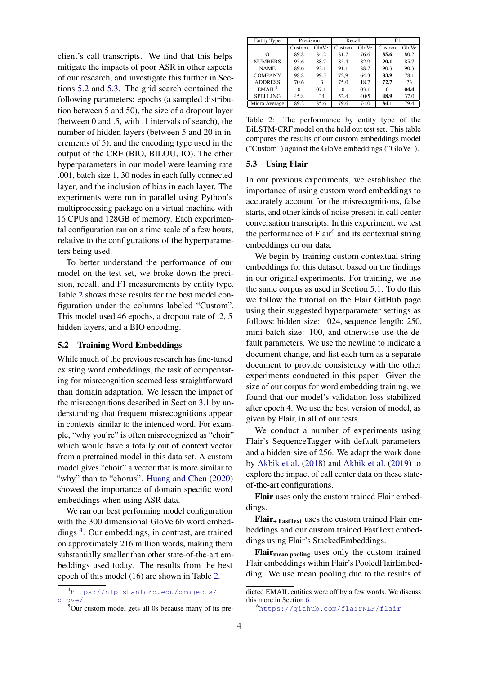client's call transcripts. We find that this helps mitigate the impacts of poor ASR in other aspects of our research, and investigate this further in Sections [5.2](#page-3-0) and [5.3.](#page-3-1) The grid search contained the following parameters: epochs (a sampled distribution between 5 and 50), the size of a dropout layer (between 0 and .5, with .1 intervals of search), the number of hidden layers (between 5 and 20 in increments of 5), and the encoding type used in the output of the CRF (BIO, BILOU, IO). The other hyperparameters in our model were learning rate .001, batch size 1, 30 nodes in each fully connected layer, and the inclusion of bias in each layer. The experiments were run in parallel using Python's multiprocessing package on a virtual machine with 16 CPUs and 128GB of memory. Each experimental configuration ran on a time scale of a few hours, relative to the configurations of the hyperparameters being used.

To better understand the performance of our model on the test set, we broke down the precision, recall, and F1 measurements by entity type. Table [2](#page-3-2) shows these results for the best model configuration under the columns labeled "Custom". This model used 46 epochs, a dropout rate of .2, 5 hidden layers, and a BIO encoding.

# <span id="page-3-0"></span>5.2 Training Word Embeddings

While much of the previous research has fine-tuned existing word embeddings, the task of compensating for misrecognition seemed less straightforward than domain adaptation. We lessen the impact of the misrecognitions described in Section [3.1](#page-1-0) by understanding that frequent misrecognitions appear in contexts similar to the intended word. For example, "why you're" is often misrecognized as "choir" which would have a totally out of context vector from a pretrained model in this data set. A custom model gives "choir" a vector that is more similar to "why" than to "chorus". [Huang and Chen](#page-5-17) [\(2020\)](#page-5-17) showed the importance of domain specific word embeddings when using ASR data.

We ran our best performing model configuration with the 300 dimensional GloVe 6b word embed-dings<sup>[4](#page-3-3)</sup>. Our embeddings, in contrast, are trained on approximately 216 million words, making them substantially smaller than other state-of-the-art embeddings used today. The results from the best epoch of this model (16) are shown in Table [2.](#page-3-2)

<span id="page-3-2"></span>

| <b>Entity Type</b> | Precision |           | Recall |       | F1       |       |
|--------------------|-----------|-----------|--------|-------|----------|-------|
|                    | Custom    | GloVe     | Custom | GloVe | Custom   | GloVe |
| $\Omega$           | 89.8      | 84.2      | 81.7   | 76.6  | 85.6     | 80.2  |
| <b>NUMBERS</b>     | 95.6      | 88.7      | 85.4   | 82.9  | 90.1     | 85.7  |
| <b>NAME</b>        | 89.6      | 92.1      | 91.1   | 88.7  | 90.3     | 90.3  |
| <b>COMPANY</b>     | 98.8      | 99.5      | 72.9   | 64.3  | 83.9     | 78.1  |
| <b>ADDRESS</b>     | 70.6      | $\cdot$ 3 | 75.0   | 18.7  | 72.7     | 23    |
| EMAII <sup>5</sup> | 0         | 07.1      | 0      | 03.1  | $\Omega$ | 04.4  |
| <b>SPELLING</b>    | 45.8      | .34       | 52.4   | 40/5  | 48.9     | 37.0  |
| Micro Average      | 89.2      | 85.6      | 79.6   | 74.0  | 84.1     | 79.4  |

Table 2: The performance by entity type of the BiLSTM-CRF model on the held out test set. This table compares the results of our custom embeddings model ("Custom") against the GloVe embeddings ("GloVe").

#### <span id="page-3-1"></span>5.3 Using Flair

In our previous experiments, we established the importance of using custom word embeddings to accurately account for the misrecognitions, false starts, and other kinds of noise present in call center conversation transcripts. In this experiment, we test the performance of Flair<sup>[6](#page-3-5)</sup> and its contextual string embeddings on our data.

We begin by training custom contextual string embeddings for this dataset, based on the findings in our original experiments. For training, we use the same corpus as used in Section [5.1.](#page-2-4) To do this we follow the tutorial on the Flair GitHub page using their suggested hyperparameter settings as follows: hidden size: 1024, sequence length: 250, mini batch size: 100, and otherwise use the default parameters. We use the newline to indicate a document change, and list each turn as a separate document to provide consistency with the other experiments conducted in this paper. Given the size of our corpus for word embedding training, we found that our model's validation loss stabilized after epoch 4. We use the best version of model, as given by Flair, in all of our tests.

We conduct a number of experiments using Flair's SequenceTagger with default parameters and a hidden size of 256. We adapt the work done by [Akbik et al.](#page-5-9) [\(2018\)](#page-5-9) and [Akbik et al.](#page-5-10) [\(2019\)](#page-5-10) to explore the impact of call center data on these stateof-the-art configurations.

Flair uses only the custom trained Flair embeddings.

 $Flair$ <sub>+ FastText</sub> uses the custom trained Flair embeddings and our custom trained FastText embeddings using Flair's StackedEmbeddings.

Flair<sub>mean pooling</sub> uses only the custom trained Flair embeddings within Flair's PooledFlairEmbedding. We use mean pooling due to the results of

<span id="page-3-3"></span><sup>4</sup>[https://nlp.stanford.edu/projects/](https://nlp.stanford.edu/projects/glove/) [glove/](https://nlp.stanford.edu/projects/glove/)

<span id="page-3-4"></span><sup>5</sup>Our custom model gets all 0s because many of its pre-

dicted EMAIL entities were off by a few words. We discuss this more in Section [6.](#page-4-0)

<span id="page-3-5"></span><sup>6</sup><https://github.com/flairNLP/flair>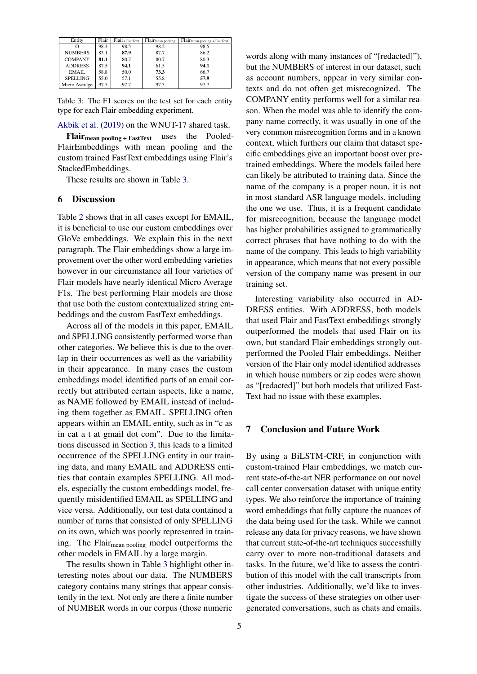<span id="page-4-1"></span>

| Entity          | Flair | $\overline{\text{Flair}}$ + FastText | $\overline{\text{Flair}}_{\text{mean pooling}}$ | $\overline{\text{Flair}}_{\text{mean pooling} + \text{FastText}}$ |
|-----------------|-------|--------------------------------------|-------------------------------------------------|-------------------------------------------------------------------|
| O               | 98.3  | 98.5                                 | 98.2                                            | 98.5                                                              |
| <b>NUMBERS</b>  | 83.1  | 87.9                                 | 87.7                                            | 86.2                                                              |
| <b>COMPANY</b>  | 81.1  | 80.7                                 | 80.7                                            | 80.3                                                              |
| <b>ADDRESS</b>  | 87.5  | 94.1                                 | 61.5                                            | 94.1                                                              |
| EMAIL.          | 58.8  | 50.0                                 | 73.3                                            | 66.7                                                              |
| <b>SPELLING</b> | 55.0  | 57.1                                 | 55.8                                            | 57.9                                                              |
| Micro Average   | 97.5  | 97.7                                 | 97.3                                            | 97.7                                                              |

Table 3: The F1 scores on the test set for each entity type for each Flair embedding experiment.

[Akbik et al.](#page-5-10) [\(2019\)](#page-5-10) on the WNUT-17 shared task.

Flairmean pooling + FastText uses the Pooled-FlairEmbeddings with mean pooling and the custom trained FastText embeddings using Flair's StackedEmbeddings.

These results are shown in Table [3.](#page-4-1)

#### <span id="page-4-0"></span>6 Discussion

Table [2](#page-3-2) shows that in all cases except for EMAIL, it is beneficial to use our custom embeddings over GloVe embeddings. We explain this in the next paragraph. The Flair embeddings show a large improvement over the other word embedding varieties however in our circumstance all four varieties of Flair models have nearly identical Micro Average F1s. The best performing Flair models are those that use both the custom contextualized string embeddings and the custom FastText embeddings.

Across all of the models in this paper, EMAIL and SPELLING consistently performed worse than other categories. We believe this is due to the overlap in their occurrences as well as the variability in their appearance. In many cases the custom embeddings model identified parts of an email correctly but attributed certain aspects, like a name, as NAME followed by EMAIL instead of including them together as EMAIL. SPELLING often appears within an EMAIL entity, such as in "c as in cat a t at gmail dot com". Due to the limitations discussed in Section [3,](#page-1-1) this leads to a limited occurrence of the SPELLING entity in our training data, and many EMAIL and ADDRESS entities that contain examples SPELLING. All models, especially the custom embeddings model, frequently misidentified EMAIL as SPELLING and vice versa. Additionally, our test data contained a number of turns that consisted of only SPELLING on its own, which was poorly represented in training. The Flair<sub>mean pooling</sub> model outperforms the other models in EMAIL by a large margin.

The results shown in Table [3](#page-4-1) highlight other interesting notes about our data. The NUMBERS category contains many strings that appear consistently in the text. Not only are there a finite number of NUMBER words in our corpus (those numeric

words along with many instances of "[redacted]"), but the NUMBERS of interest in our dataset, such as account numbers, appear in very similar contexts and do not often get misrecognized. The COMPANY entity performs well for a similar reason. When the model was able to identify the company name correctly, it was usually in one of the very common misrecognition forms and in a known context, which furthers our claim that dataset specific embeddings give an important boost over pretrained embeddings. Where the models failed here can likely be attributed to training data. Since the name of the company is a proper noun, it is not in most standard ASR language models, including the one we use. Thus, it is a frequent candidate for misrecognition, because the language model has higher probabilities assigned to grammatically correct phrases that have nothing to do with the name of the company. This leads to high variability in appearance, which means that not every possible version of the company name was present in our training set.

Interesting variability also occurred in AD-DRESS entities. With ADDRESS, both models that used Flair and FastText embeddings strongly outperformed the models that used Flair on its own, but standard Flair embeddings strongly outperformed the Pooled Flair embeddings. Neither version of the Flair only model identified addresses in which house numbers or zip codes were shown as "[redacted]" but both models that utilized Fast-Text had no issue with these examples.

# 7 Conclusion and Future Work

By using a BiLSTM-CRF, in conjunction with custom-trained Flair embeddings, we match current state-of-the-art NER performance on our novel call center conversation dataset with unique entity types. We also reinforce the importance of training word embeddings that fully capture the nuances of the data being used for the task. While we cannot release any data for privacy reasons, we have shown that current state-of-the-art techniques successfully carry over to more non-traditional datasets and tasks. In the future, we'd like to assess the contribution of this model with the call transcripts from other industries. Additionally, we'd like to investigate the success of these strategies on other usergenerated conversations, such as chats and emails.